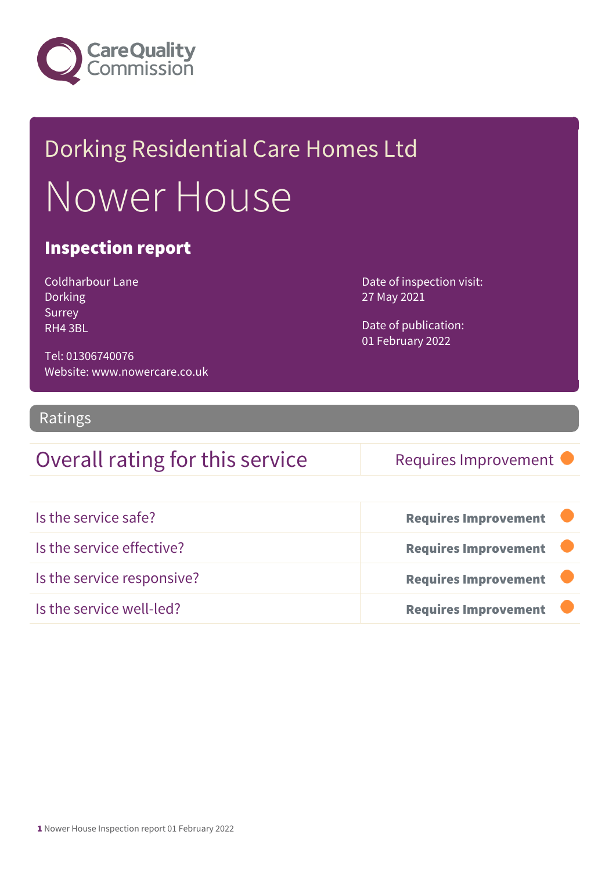

# Dorking Residential Care Homes Ltd Nower House

### Inspection report

| Coldharbour Lane |
|------------------|
| Dorking          |
| Surrey           |
| RH4 3BL          |

Date of inspection visit: 27 May 2021

Date of publication: 01 February 2022

Tel: 01306740076 Website: www.nowercare.co.uk

### Ratings

### Overall rating for this service Requires Improvement

| Is the service safe?       | <b>Requires Improvement</b> |
|----------------------------|-----------------------------|
| Is the service effective?  | <b>Requires Improvement</b> |
| Is the service responsive? | <b>Requires Improvement</b> |
| Is the service well-led?   | <b>Requires Improvement</b> |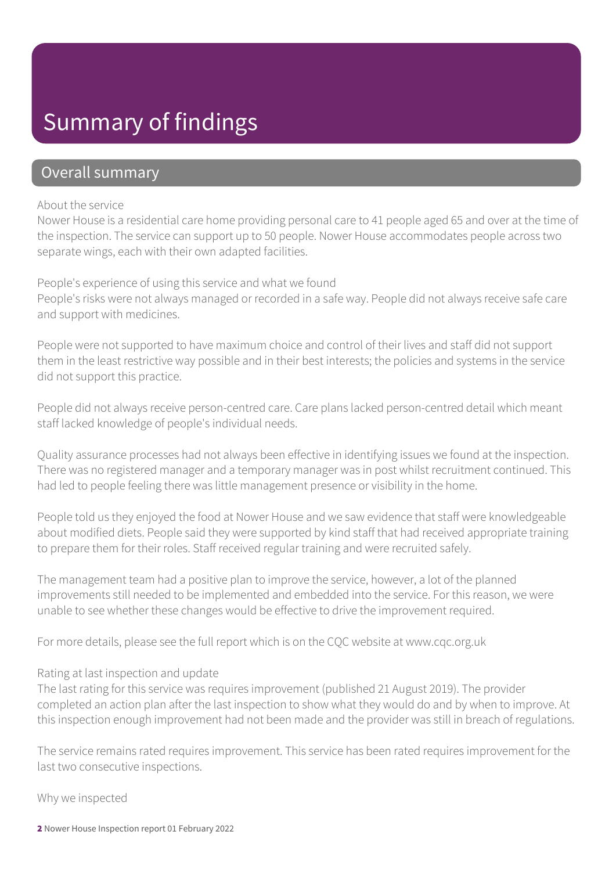## Summary of findings

### Overall summary

#### About the service

Nower House is a residential care home providing personal care to 41 people aged 65 and over at the time of the inspection. The service can support up to 50 people. Nower House accommodates people across two separate wings, each with their own adapted facilities.

People's experience of using this service and what we found People's risks were not always managed or recorded in a safe way. People did not always receive safe care and support with medicines.

People were not supported to have maximum choice and control of their lives and staff did not support them in the least restrictive way possible and in their best interests; the policies and systems in the service did not support this practice.

People did not always receive person-centred care. Care plans lacked person-centred detail which meant staff lacked knowledge of people's individual needs.

Quality assurance processes had not always been effective in identifying issues we found at the inspection. There was no registered manager and a temporary manager was in post whilst recruitment continued. This had led to people feeling there was little management presence or visibility in the home.

People told us they enjoyed the food at Nower House and we saw evidence that staff were knowledgeable about modified diets. People said they were supported by kind staff that had received appropriate training to prepare them for their roles. Staff received regular training and were recruited safely.

The management team had a positive plan to improve the service, however, a lot of the planned improvements still needed to be implemented and embedded into the service. For this reason, we were unable to see whether these changes would be effective to drive the improvement required.

For more details, please see the full report which is on the CQC website at www.cqc.org.uk

#### Rating at last inspection and update

The last rating for this service was requires improvement (published 21 August 2019). The provider completed an action plan after the last inspection to show what they would do and by when to improve. At this inspection enough improvement had not been made and the provider was still in breach of regulations.

The service remains rated requires improvement. This service has been rated requires improvement for the last two consecutive inspections.

Why we inspected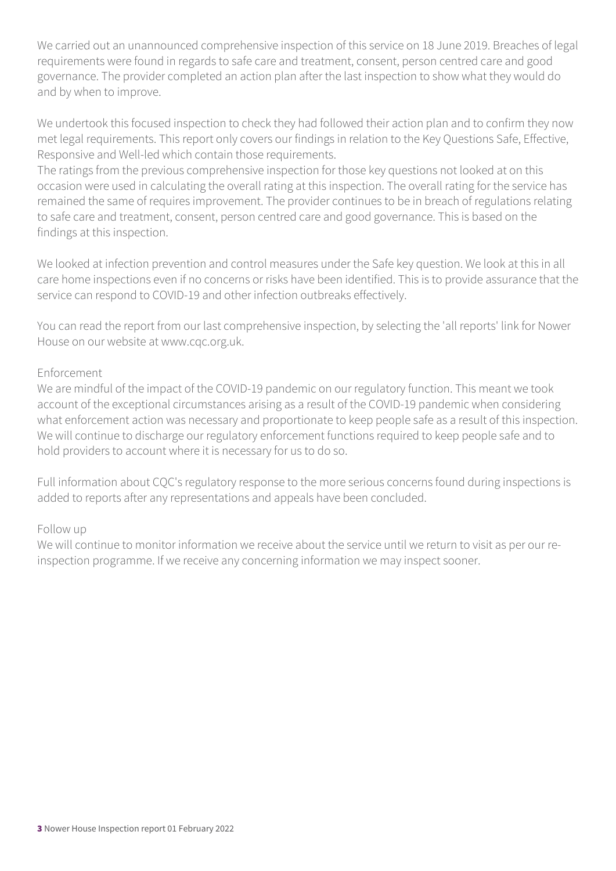We carried out an unannounced comprehensive inspection of this service on 18 June 2019. Breaches of legal requirements were found in regards to safe care and treatment, consent, person centred care and good governance. The provider completed an action plan after the last inspection to show what they would do and by when to improve.

We undertook this focused inspection to check they had followed their action plan and to confirm they now met legal requirements. This report only covers our findings in relation to the Key Questions Safe, Effective, Responsive and Well-led which contain those requirements.

The ratings from the previous comprehensive inspection for those key questions not looked at on this occasion were used in calculating the overall rating at this inspection. The overall rating for the service has remained the same of requires improvement. The provider continues to be in breach of regulations relating to safe care and treatment, consent, person centred care and good governance. This is based on the findings at this inspection.

We looked at infection prevention and control measures under the Safe key question. We look at this in all care home inspections even if no concerns or risks have been identified. This is to provide assurance that the service can respond to COVID-19 and other infection outbreaks effectively.

You can read the report from our last comprehensive inspection, by selecting the 'all reports' link for Nower House on our website at www.cqc.org.uk.

#### Enforcement

We are mindful of the impact of the COVID-19 pandemic on our regulatory function. This meant we took account of the exceptional circumstances arising as a result of the COVID-19 pandemic when considering what enforcement action was necessary and proportionate to keep people safe as a result of this inspection. We will continue to discharge our regulatory enforcement functions required to keep people safe and to hold providers to account where it is necessary for us to do so.

Full information about CQC's regulatory response to the more serious concerns found during inspections is added to reports after any representations and appeals have been concluded.

### Follow up

We will continue to monitor information we receive about the service until we return to visit as per our reinspection programme. If we receive any concerning information we may inspect sooner.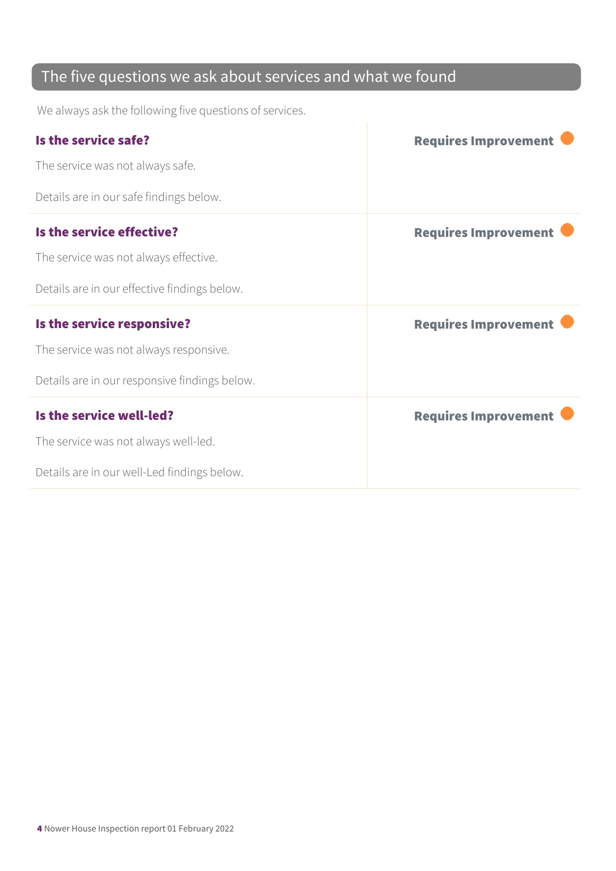### The five questions we ask about services and what we found

We always ask the following five questions of services.

| Is the service safe?                          | <b>Requires Improvement</b> |
|-----------------------------------------------|-----------------------------|
| The service was not always safe.              |                             |
| Details are in our safe findings below.       |                             |
| Is the service effective?                     | <b>Requires Improvement</b> |
| The service was not always effective.         |                             |
| Details are in our effective findings below.  |                             |
| Is the service responsive?                    | <b>Requires Improvement</b> |
| The service was not always responsive.        |                             |
| Details are in our responsive findings below. |                             |
| Is the service well-led?                      | <b>Requires Improvement</b> |
| The service was not always well-led.          |                             |
| Details are in our well-Led findings below.   |                             |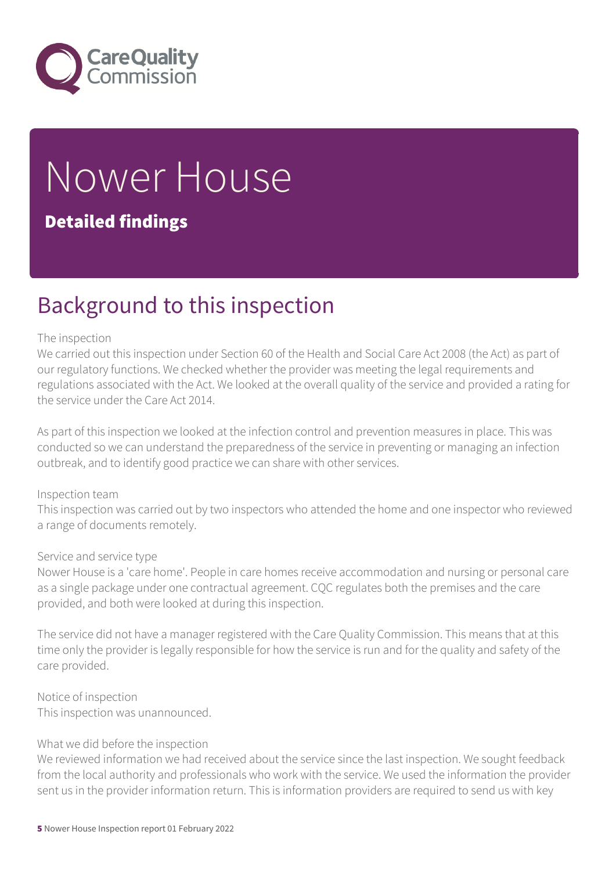

# Nower House

### Detailed findings

# Background to this inspection

#### The inspection

We carried out this inspection under Section 60 of the Health and Social Care Act 2008 (the Act) as part of our regulatory functions. We checked whether the provider was meeting the legal requirements and regulations associated with the Act. We looked at the overall quality of the service and provided a rating for the service under the Care Act 2014.

As part of this inspection we looked at the infection control and prevention measures in place. This was conducted so we can understand the preparedness of the service in preventing or managing an infection outbreak, and to identify good practice we can share with other services.

#### Inspection team

This inspection was carried out by two inspectors who attended the home and one inspector who reviewed a range of documents remotely.

#### Service and service type

Nower House is a 'care home'. People in care homes receive accommodation and nursing or personal care as a single package under one contractual agreement. CQC regulates both the premises and the care provided, and both were looked at during this inspection.

The service did not have a manager registered with the Care Quality Commission. This means that at this time only the provider is legally responsible for how the service is run and for the quality and safety of the care provided.

Notice of inspection This inspection was unannounced.

#### What we did before the inspection

We reviewed information we had received about the service since the last inspection. We sought feedback from the local authority and professionals who work with the service. We used the information the provider sent us in the provider information return. This is information providers are required to send us with key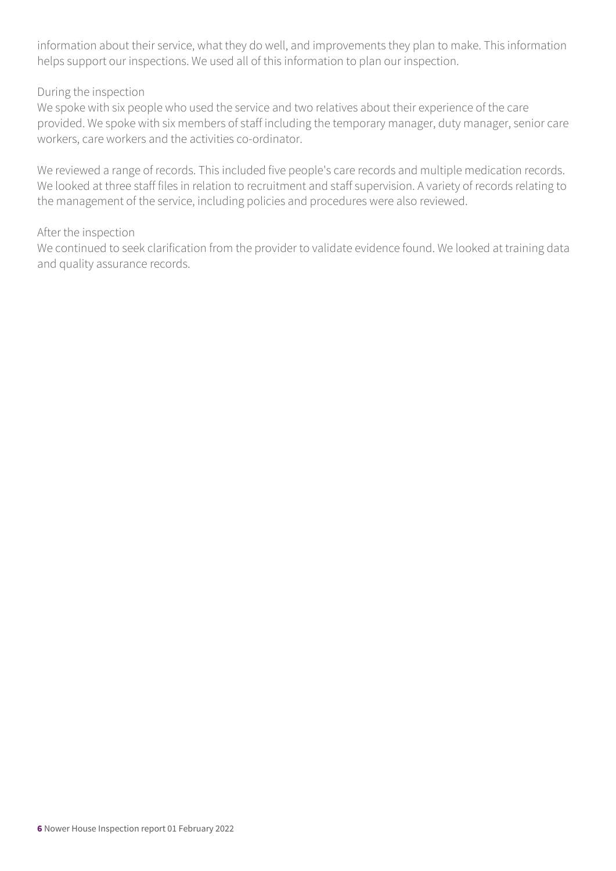information about their service, what they do well, and improvements they plan to make. This information helps support our inspections. We used all of this information to plan our inspection.

#### During the inspection

We spoke with six people who used the service and two relatives about their experience of the care provided. We spoke with six members of staff including the temporary manager, duty manager, senior care workers, care workers and the activities co-ordinator.

We reviewed a range of records. This included five people's care records and multiple medication records. We looked at three staff files in relation to recruitment and staff supervision. A variety of records relating to the management of the service, including policies and procedures were also reviewed.

#### After the inspection

We continued to seek clarification from the provider to validate evidence found. We looked at training data and quality assurance records.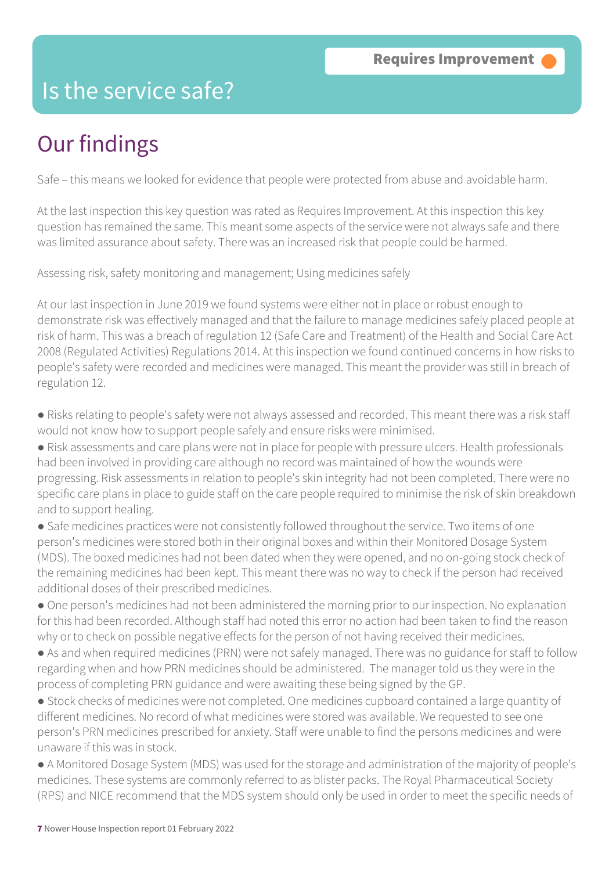### Is the service safe?

# Our findings

Safe – this means we looked for evidence that people were protected from abuse and avoidable harm.

At the last inspection this key question was rated as Requires Improvement. At this inspection this key question has remained the same. This meant some aspects of the service were not always safe and there was limited assurance about safety. There was an increased risk that people could be harmed.

Assessing risk, safety monitoring and management; Using medicines safely

At our last inspection in June 2019 we found systems were either not in place or robust enough to demonstrate risk was effectively managed and that the failure to manage medicines safely placed people at risk of harm. This was a breach of regulation 12 (Safe Care and Treatment) of the Health and Social Care Act 2008 (Regulated Activities) Regulations 2014. At this inspection we found continued concerns in how risks to people's safety were recorded and medicines were managed. This meant the provider was still in breach of regulation 12.

● Risks relating to people's safety were not always assessed and recorded. This meant there was a risk staff would not know how to support people safely and ensure risks were minimised.

● Risk assessments and care plans were not in place for people with pressure ulcers. Health professionals had been involved in providing care although no record was maintained of how the wounds were progressing. Risk assessments in relation to people's skin integrity had not been completed. There were no specific care plans in place to guide staff on the care people required to minimise the risk of skin breakdown and to support healing.

● Safe medicines practices were not consistently followed throughout the service. Two items of one person's medicines were stored both in their original boxes and within their Monitored Dosage System (MDS). The boxed medicines had not been dated when they were opened, and no on-going stock check of the remaining medicines had been kept. This meant there was no way to check if the person had received additional doses of their prescribed medicines.

● One person's medicines had not been administered the morning prior to our inspection. No explanation for this had been recorded. Although staff had noted this error no action had been taken to find the reason why or to check on possible negative effects for the person of not having received their medicines.

• As and when required medicines (PRN) were not safely managed. There was no guidance for staff to follow regarding when and how PRN medicines should be administered. The manager told us they were in the process of completing PRN guidance and were awaiting these being signed by the GP.

● Stock checks of medicines were not completed. One medicines cupboard contained a large quantity of different medicines. No record of what medicines were stored was available. We requested to see one person's PRN medicines prescribed for anxiety. Staff were unable to find the persons medicines and were unaware if this was in stock.

● A Monitored Dosage System (MDS) was used for the storage and administration of the majority of people's medicines. These systems are commonly referred to as blister packs. The Royal Pharmaceutical Society (RPS) and NICE recommend that the MDS system should only be used in order to meet the specific needs of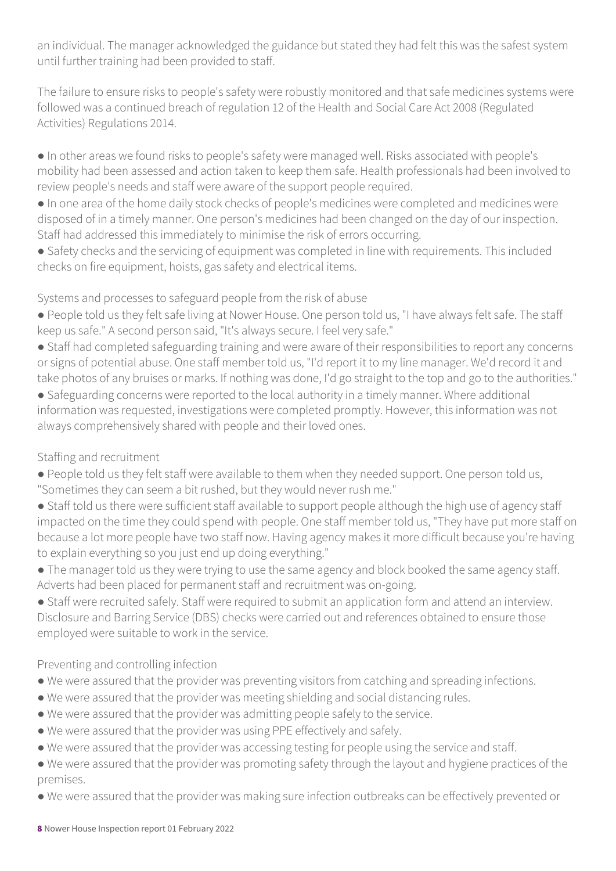an individual. The manager acknowledged the guidance but stated they had felt this was the safest system until further training had been provided to staff.

The failure to ensure risks to people's safety were robustly monitored and that safe medicines systems were followed was a continued breach of regulation 12 of the Health and Social Care Act 2008 (Regulated Activities) Regulations 2014.

● In other areas we found risks to people's safety were managed well. Risks associated with people's mobility had been assessed and action taken to keep them safe. Health professionals had been involved to review people's needs and staff were aware of the support people required.

● In one area of the home daily stock checks of people's medicines were completed and medicines were disposed of in a timely manner. One person's medicines had been changed on the day of our inspection. Staff had addressed this immediately to minimise the risk of errors occurring.

● Safety checks and the servicing of equipment was completed in line with requirements. This included checks on fire equipment, hoists, gas safety and electrical items.

### Systems and processes to safeguard people from the risk of abuse

- People told us they felt safe living at Nower House. One person told us, "I have always felt safe. The staff keep us safe." A second person said, "It's always secure. I feel very safe."
- Staff had completed safeguarding training and were aware of their responsibilities to report any concerns or signs of potential abuse. One staff member told us, "I'd report it to my line manager. We'd record it and take photos of any bruises or marks. If nothing was done, I'd go straight to the top and go to the authorities."
- Safeguarding concerns were reported to the local authority in a timely manner. Where additional information was requested, investigations were completed promptly. However, this information was not always comprehensively shared with people and their loved ones.

### Staffing and recruitment

- People told us they felt staff were available to them when they needed support. One person told us, "Sometimes they can seem a bit rushed, but they would never rush me."
- Staff told us there were sufficient staff available to support people although the high use of agency staff impacted on the time they could spend with people. One staff member told us, "They have put more staff on because a lot more people have two staff now. Having agency makes it more difficult because you're having to explain everything so you just end up doing everything."
- The manager told us they were trying to use the same agency and block booked the same agency staff. Adverts had been placed for permanent staff and recruitment was on-going.
- Staff were recruited safely. Staff were required to submit an application form and attend an interview. Disclosure and Barring Service (DBS) checks were carried out and references obtained to ensure those employed were suitable to work in the service.

### Preventing and controlling infection

- We were assured that the provider was preventing visitors from catching and spreading infections.
- We were assured that the provider was meeting shielding and social distancing rules.
- We were assured that the provider was admitting people safely to the service.
- We were assured that the provider was using PPE effectively and safely.
- We were assured that the provider was accessing testing for people using the service and staff.
- We were assured that the provider was promoting safety through the layout and hygiene practices of the premises.
- We were assured that the provider was making sure infection outbreaks can be effectively prevented or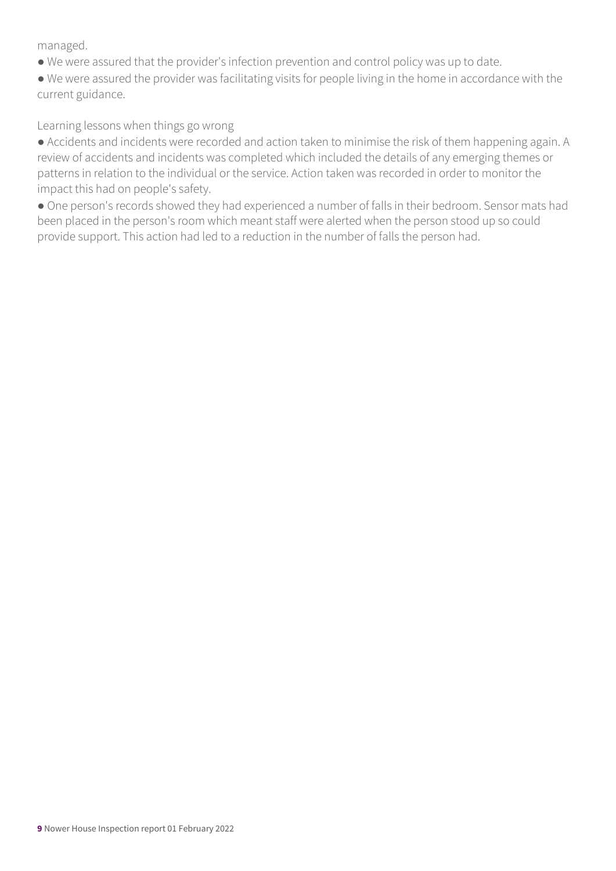managed.

- We were assured that the provider's infection prevention and control policy was up to date.
- We were assured the provider was facilitating visits for people living in the home in accordance with the current guidance.

### Learning lessons when things go wrong

● Accidents and incidents were recorded and action taken to minimise the risk of them happening again. A review of accidents and incidents was completed which included the details of any emerging themes or patterns in relation to the individual or the service. Action taken was recorded in order to monitor the impact this had on people's safety.

● One person's records showed they had experienced a number of falls in their bedroom. Sensor mats had been placed in the person's room which meant staff were alerted when the person stood up so could provide support. This action had led to a reduction in the number of falls the person had.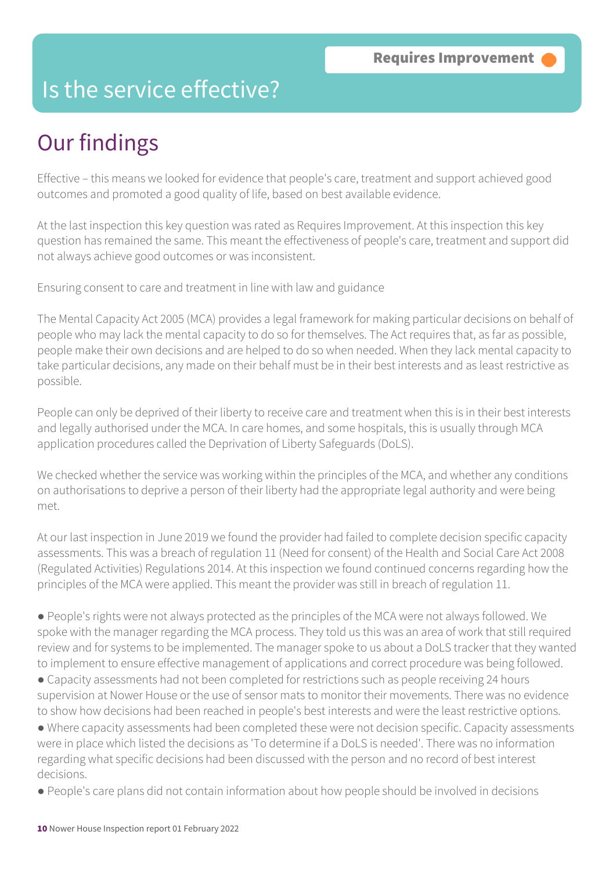### Is the service effective?

# Our findings

Effective – this means we looked for evidence that people's care, treatment and support achieved good outcomes and promoted a good quality of life, based on best available evidence.

At the last inspection this key question was rated as Requires Improvement. At this inspection this key question has remained the same. This meant the effectiveness of people's care, treatment and support did not always achieve good outcomes or was inconsistent.

Ensuring consent to care and treatment in line with law and guidance

The Mental Capacity Act 2005 (MCA) provides a legal framework for making particular decisions on behalf of people who may lack the mental capacity to do so for themselves. The Act requires that, as far as possible, people make their own decisions and are helped to do so when needed. When they lack mental capacity to take particular decisions, any made on their behalf must be in their best interests and as least restrictive as possible.

People can only be deprived of their liberty to receive care and treatment when this is in their best interests and legally authorised under the MCA. In care homes, and some hospitals, this is usually through MCA application procedures called the Deprivation of Liberty Safeguards (DoLS).

We checked whether the service was working within the principles of the MCA, and whether any conditions on authorisations to deprive a person of their liberty had the appropriate legal authority and were being met.

At our last inspection in June 2019 we found the provider had failed to complete decision specific capacity assessments. This was a breach of regulation 11 (Need for consent) of the Health and Social Care Act 2008 (Regulated Activities) Regulations 2014. At this inspection we found continued concerns regarding how the principles of the MCA were applied. This meant the provider was still in breach of regulation 11.

● People's rights were not always protected as the principles of the MCA were not always followed. We spoke with the manager regarding the MCA process. They told us this was an area of work that still required review and for systems to be implemented. The manager spoke to us about a DoLS tracker that they wanted to implement to ensure effective management of applications and correct procedure was being followed.

● Capacity assessments had not been completed for restrictions such as people receiving 24 hours supervision at Nower House or the use of sensor mats to monitor their movements. There was no evidence to show how decisions had been reached in people's best interests and were the least restrictive options.

● Where capacity assessments had been completed these were not decision specific. Capacity assessments were in place which listed the decisions as 'To determine if a DoLS is needed'. There was no information regarding what specific decisions had been discussed with the person and no record of best interest decisions.

● People's care plans did not contain information about how people should be involved in decisions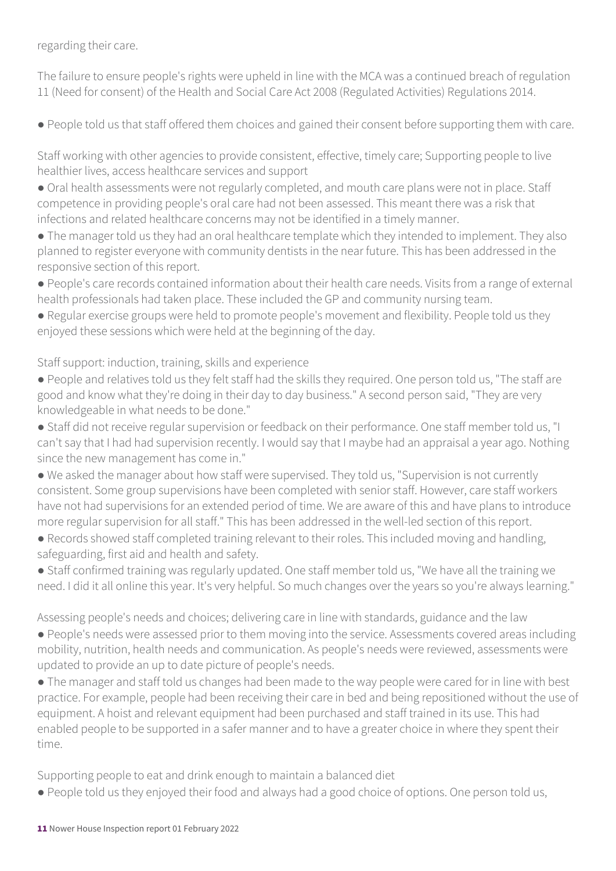regarding their care.

The failure to ensure people's rights were upheld in line with the MCA was a continued breach of regulation 11 (Need for consent) of the Health and Social Care Act 2008 (Regulated Activities) Regulations 2014.

● People told us that staff offered them choices and gained their consent before supporting them with care.

Staff working with other agencies to provide consistent, effective, timely care; Supporting people to live healthier lives, access healthcare services and support

- Oral health assessments were not regularly completed, and mouth care plans were not in place. Staff competence in providing people's oral care had not been assessed. This meant there was a risk that infections and related healthcare concerns may not be identified in a timely manner.
- The manager told us they had an oral healthcare template which they intended to implement. They also planned to register everyone with community dentists in the near future. This has been addressed in the responsive section of this report.
- People's care records contained information about their health care needs. Visits from a range of external health professionals had taken place. These included the GP and community nursing team.
- Regular exercise groups were held to promote people's movement and flexibility. People told us they enjoyed these sessions which were held at the beginning of the day.

Staff support: induction, training, skills and experience

- People and relatives told us they felt staff had the skills they required. One person told us, "The staff are good and know what they're doing in their day to day business." A second person said, "They are very knowledgeable in what needs to be done."
- Staff did not receive regular supervision or feedback on their performance. One staff member told us, "I can't say that I had had supervision recently. I would say that I maybe had an appraisal a year ago. Nothing since the new management has come in."
- We asked the manager about how staff were supervised. They told us, "Supervision is not currently consistent. Some group supervisions have been completed with senior staff. However, care staff workers have not had supervisions for an extended period of time. We are aware of this and have plans to introduce more regular supervision for all staff." This has been addressed in the well-led section of this report.
- Records showed staff completed training relevant to their roles. This included moving and handling, safeguarding, first aid and health and safety.
- Staff confirmed training was regularly updated. One staff member told us, "We have all the training we need. I did it all online this year. It's very helpful. So much changes over the years so you're always learning."

Assessing people's needs and choices; delivering care in line with standards, guidance and the law

- People's needs were assessed prior to them moving into the service. Assessments covered areas including mobility, nutrition, health needs and communication. As people's needs were reviewed, assessments were updated to provide an up to date picture of people's needs.
- The manager and staff told us changes had been made to the way people were cared for in line with best practice. For example, people had been receiving their care in bed and being repositioned without the use of equipment. A hoist and relevant equipment had been purchased and staff trained in its use. This had enabled people to be supported in a safer manner and to have a greater choice in where they spent their time.

Supporting people to eat and drink enough to maintain a balanced diet

● People told us they enjoyed their food and always had a good choice of options. One person told us,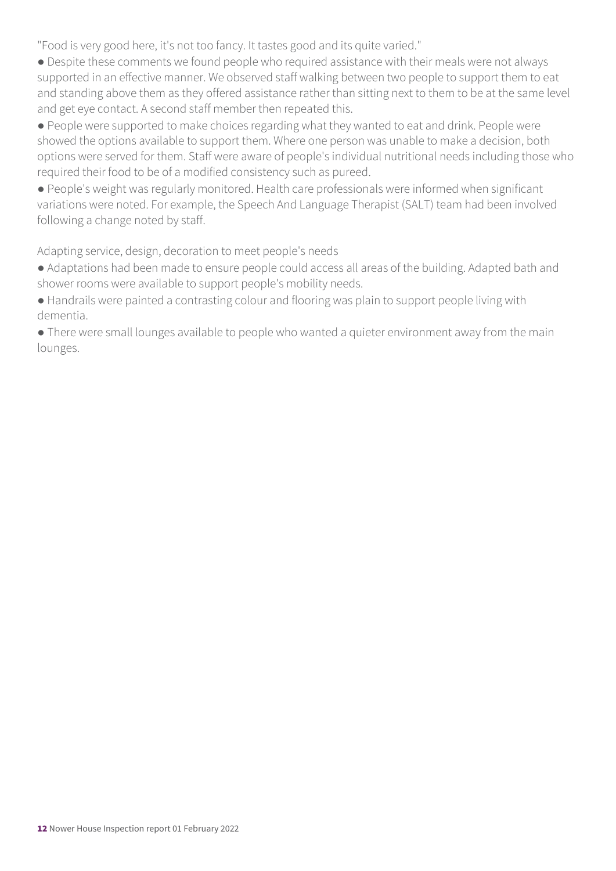"Food is very good here, it's not too fancy. It tastes good and its quite varied."

● Despite these comments we found people who required assistance with their meals were not always supported in an effective manner. We observed staff walking between two people to support them to eat and standing above them as they offered assistance rather than sitting next to them to be at the same level and get eye contact. A second staff member then repeated this.

● People were supported to make choices regarding what they wanted to eat and drink. People were showed the options available to support them. Where one person was unable to make a decision, both options were served for them. Staff were aware of people's individual nutritional needs including those who required their food to be of a modified consistency such as pureed.

● People's weight was regularly monitored. Health care professionals were informed when significant variations were noted. For example, the Speech And Language Therapist (SALT) team had been involved following a change noted by staff.

Adapting service, design, decoration to meet people's needs

● Adaptations had been made to ensure people could access all areas of the building. Adapted bath and shower rooms were available to support people's mobility needs.

● Handrails were painted a contrasting colour and flooring was plain to support people living with dementia.

● There were small lounges available to people who wanted a quieter environment away from the main lounges.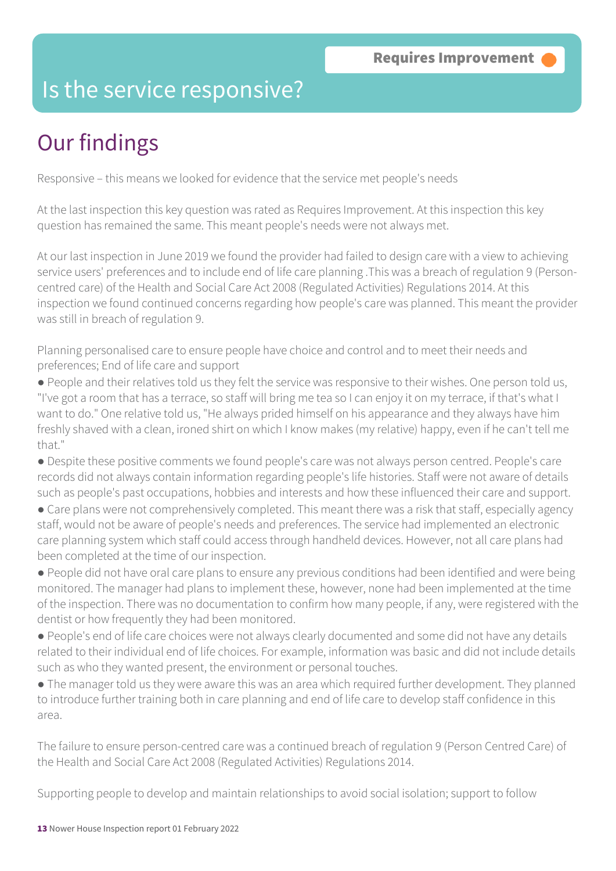### Is the service responsive?

# Our findings

Responsive – this means we looked for evidence that the service met people's needs

At the last inspection this key question was rated as Requires Improvement. At this inspection this key question has remained the same. This meant people's needs were not always met.

At our last inspection in June 2019 we found the provider had failed to design care with a view to achieving service users' preferences and to include end of life care planning .This was a breach of regulation 9 (Personcentred care) of the Health and Social Care Act 2008 (Regulated Activities) Regulations 2014. At this inspection we found continued concerns regarding how people's care was planned. This meant the provider was still in breach of regulation 9.

Planning personalised care to ensure people have choice and control and to meet their needs and preferences; End of life care and support

● People and their relatives told us they felt the service was responsive to their wishes. One person told us, "I've got a room that has a terrace, so staff will bring me tea so I can enjoy it on my terrace, if that's what I want to do." One relative told us, "He always prided himself on his appearance and they always have him freshly shaved with a clean, ironed shirt on which I know makes (my relative) happy, even if he can't tell me that."

● Despite these positive comments we found people's care was not always person centred. People's care records did not always contain information regarding people's life histories. Staff were not aware of details such as people's past occupations, hobbies and interests and how these influenced their care and support.

• Care plans were not comprehensively completed. This meant there was a risk that staff, especially agency staff, would not be aware of people's needs and preferences. The service had implemented an electronic care planning system which staff could access through handheld devices. However, not all care plans had been completed at the time of our inspection.

● People did not have oral care plans to ensure any previous conditions had been identified and were being monitored. The manager had plans to implement these, however, none had been implemented at the time of the inspection. There was no documentation to confirm how many people, if any, were registered with the dentist or how frequently they had been monitored.

● People's end of life care choices were not always clearly documented and some did not have any details related to their individual end of life choices. For example, information was basic and did not include details such as who they wanted present, the environment or personal touches.

● The manager told us they were aware this was an area which required further development. They planned to introduce further training both in care planning and end of life care to develop staff confidence in this area.

The failure to ensure person-centred care was a continued breach of regulation 9 (Person Centred Care) of the Health and Social Care Act 2008 (Regulated Activities) Regulations 2014.

Supporting people to develop and maintain relationships to avoid social isolation; support to follow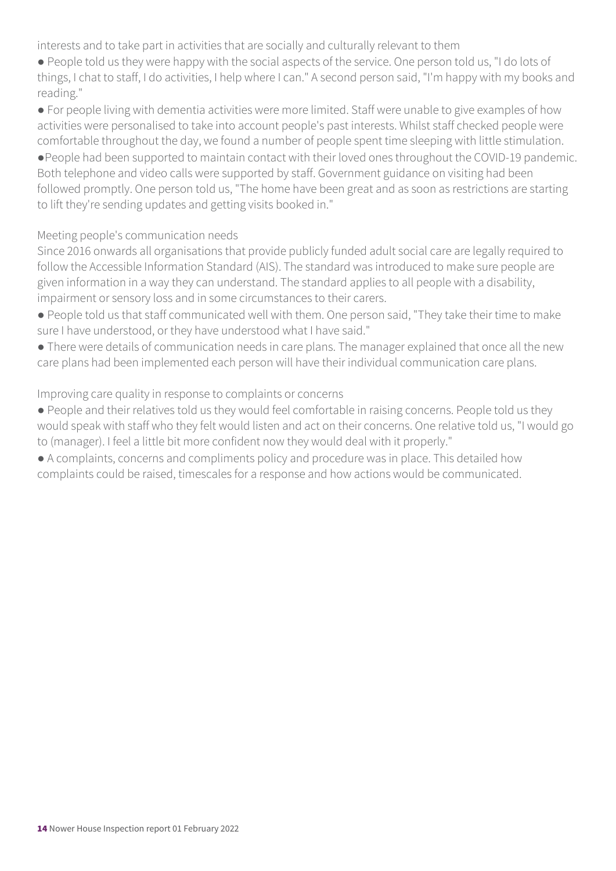interests and to take part in activities that are socially and culturally relevant to them

● People told us they were happy with the social aspects of the service. One person told us, "I do lots of things, I chat to staff, I do activities, I help where I can." A second person said, "I'm happy with my books and reading."

● For people living with dementia activities were more limited. Staff were unable to give examples of how activities were personalised to take into account people's past interests. Whilst staff checked people were comfortable throughout the day, we found a number of people spent time sleeping with little stimulation. ●People had been supported to maintain contact with their loved ones throughout the COVID-19 pandemic. Both telephone and video calls were supported by staff. Government guidance on visiting had been

followed promptly. One person told us, "The home have been great and as soon as restrictions are starting to lift they're sending updates and getting visits booked in."

### Meeting people's communication needs

Since 2016 onwards all organisations that provide publicly funded adult social care are legally required to follow the Accessible Information Standard (AIS). The standard was introduced to make sure people are given information in a way they can understand. The standard applies to all people with a disability, impairment or sensory loss and in some circumstances to their carers.

- People told us that staff communicated well with them. One person said, "They take their time to make sure I have understood, or they have understood what I have said."
- There were details of communication needs in care plans. The manager explained that once all the new care plans had been implemented each person will have their individual communication care plans.

### Improving care quality in response to complaints or concerns

- People and their relatives told us they would feel comfortable in raising concerns. People told us they would speak with staff who they felt would listen and act on their concerns. One relative told us, "I would go to (manager). I feel a little bit more confident now they would deal with it properly."
- A complaints, concerns and compliments policy and procedure was in place. This detailed how complaints could be raised, timescales for a response and how actions would be communicated.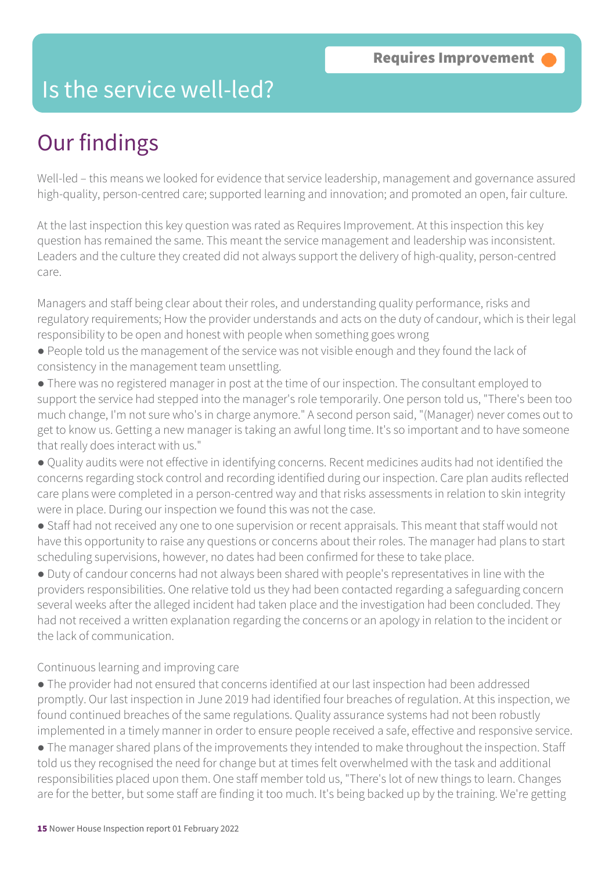### Is the service well-led?

# Our findings

Well-led – this means we looked for evidence that service leadership, management and governance assured high-quality, person-centred care; supported learning and innovation; and promoted an open, fair culture.

At the last inspection this key question was rated as Requires Improvement. At this inspection this key question has remained the same. This meant the service management and leadership was inconsistent. Leaders and the culture they created did not always support the delivery of high-quality, person-centred care.

Managers and staff being clear about their roles, and understanding quality performance, risks and regulatory requirements; How the provider understands and acts on the duty of candour, which is their legal responsibility to be open and honest with people when something goes wrong

- People told us the management of the service was not visible enough and they found the lack of consistency in the management team unsettling.
- There was no registered manager in post at the time of our inspection. The consultant employed to support the service had stepped into the manager's role temporarily. One person told us, "There's been too much change, I'm not sure who's in charge anymore." A second person said, "(Manager) never comes out to get to know us. Getting a new manager is taking an awful long time. It's so important and to have someone that really does interact with us."
- Quality audits were not effective in identifying concerns. Recent medicines audits had not identified the concerns regarding stock control and recording identified during our inspection. Care plan audits reflected care plans were completed in a person-centred way and that risks assessments in relation to skin integrity were in place. During our inspection we found this was not the case.
- Staff had not received any one to one supervision or recent appraisals. This meant that staff would not have this opportunity to raise any questions or concerns about their roles. The manager had plans to start scheduling supervisions, however, no dates had been confirmed for these to take place.

● Duty of candour concerns had not always been shared with people's representatives in line with the providers responsibilities. One relative told us they had been contacted regarding a safeguarding concern several weeks after the alleged incident had taken place and the investigation had been concluded. They had not received a written explanation regarding the concerns or an apology in relation to the incident or the lack of communication.

Continuous learning and improving care

- The provider had not ensured that concerns identified at our last inspection had been addressed promptly. Our last inspection in June 2019 had identified four breaches of regulation. At this inspection, we found continued breaches of the same regulations. Quality assurance systems had not been robustly implemented in a timely manner in order to ensure people received a safe, effective and responsive service.
- The manager shared plans of the improvements they intended to make throughout the inspection. Staff told us they recognised the need for change but at times felt overwhelmed with the task and additional responsibilities placed upon them. One staff member told us, "There's lot of new things to learn. Changes are for the better, but some staff are finding it too much. It's being backed up by the training. We're getting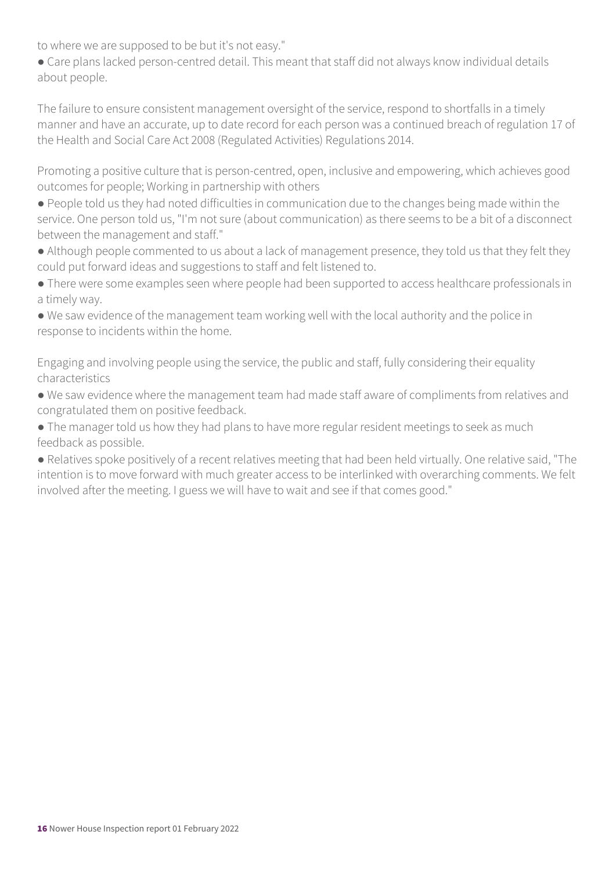to where we are supposed to be but it's not easy."

● Care plans lacked person-centred detail. This meant that staff did not always know individual details about people.

The failure to ensure consistent management oversight of the service, respond to shortfalls in a timely manner and have an accurate, up to date record for each person was a continued breach of regulation 17 of the Health and Social Care Act 2008 (Regulated Activities) Regulations 2014.

Promoting a positive culture that is person-centred, open, inclusive and empowering, which achieves good outcomes for people; Working in partnership with others

- People told us they had noted difficulties in communication due to the changes being made within the service. One person told us, "I'm not sure (about communication) as there seems to be a bit of a disconnect between the management and staff."
- Although people commented to us about a lack of management presence, they told us that they felt they could put forward ideas and suggestions to staff and felt listened to.
- There were some examples seen where people had been supported to access healthcare professionals in a timely way.
- We saw evidence of the management team working well with the local authority and the police in response to incidents within the home.

Engaging and involving people using the service, the public and staff, fully considering their equality characteristics

- We saw evidence where the management team had made staff aware of compliments from relatives and congratulated them on positive feedback.
- The manager told us how they had plans to have more regular resident meetings to seek as much feedback as possible.

● Relatives spoke positively of a recent relatives meeting that had been held virtually. One relative said, "The intention is to move forward with much greater access to be interlinked with overarching comments. We felt involved after the meeting. I guess we will have to wait and see if that comes good."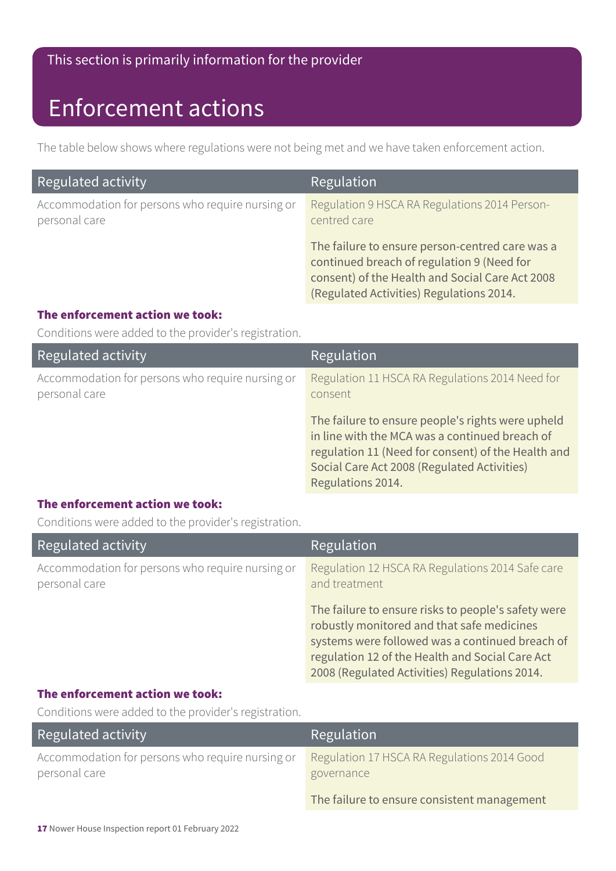### This section is primarily information for the provider

### Enforcement actions

The table below shows where regulations were not being met and we have taken enforcement action.

| Regulated activity                                                | Regulation                                                                                                                                                                                   |
|-------------------------------------------------------------------|----------------------------------------------------------------------------------------------------------------------------------------------------------------------------------------------|
| Accommodation for persons who require nursing or<br>personal care | Regulation 9 HSCA RA Regulations 2014 Person-<br>centred care                                                                                                                                |
|                                                                   | The failure to ensure person-centred care was a<br>continued breach of regulation 9 (Need for<br>consent) of the Health and Social Care Act 2008<br>(Regulated Activities) Regulations 2014. |

#### The enforcement action we took:

Conditions were added to the provider's registration.

| Regulated activity                                                | Regulation                                                                                                                                                                                                                    |
|-------------------------------------------------------------------|-------------------------------------------------------------------------------------------------------------------------------------------------------------------------------------------------------------------------------|
| Accommodation for persons who require nursing or<br>personal care | Regulation 11 HSCA RA Regulations 2014 Need for<br>consent                                                                                                                                                                    |
|                                                                   | The failure to ensure people's rights were upheld<br>in line with the MCA was a continued breach of<br>regulation 11 (Need for consent) of the Health and<br>Social Care Act 2008 (Regulated Activities)<br>Regulations 2014. |

### The enforcement action we took:

Conditions were added to the provider's registration.

| Regulated activity                                                | Regulation                                                                                                                                                                                                                                               |
|-------------------------------------------------------------------|----------------------------------------------------------------------------------------------------------------------------------------------------------------------------------------------------------------------------------------------------------|
| Accommodation for persons who require nursing or<br>personal care | Regulation 12 HSCA RA Regulations 2014 Safe care<br>and treatment                                                                                                                                                                                        |
|                                                                   | The failure to ensure risks to people's safety were<br>robustly monitored and that safe medicines<br>systems were followed was a continued breach of<br>regulation 12 of the Health and Social Care Act<br>2008 (Regulated Activities) Regulations 2014. |

#### The enforcement action we took:

Conditions were added to the provider's registration.

| Regulated activity                                                | Regulation                                                |
|-------------------------------------------------------------------|-----------------------------------------------------------|
| Accommodation for persons who require nursing or<br>personal care | Regulation 17 HSCA RA Regulations 2014 Good<br>governance |
|                                                                   | The failure to ensure consistent management               |